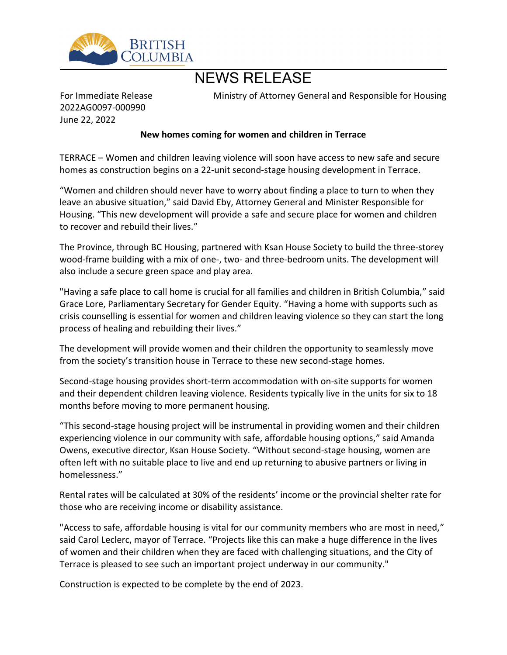

# NEWS RELEASE

For Immediate Release 2022AG0097-000990 June 22, 2022

Ministry of Attorney General and Responsible for Housing

# **New homes coming for women and children in Terrace**

TERRACE – Women and children leaving violence will soon have access to new safe and secure homes as construction begins on a 22-unit second-stage housing development in Terrace.

͞Women and children should never have to worry about finding a place to turn to when they leave an abusive situation," said David Eby, Attorney General and Minister Responsible for Housing. "This new development will provide a safe and secure place for women and children to recover and rebuild their lives."

The Province, through BC Housing, partnered with Ksan House Society to build the three-storey wood-frame building with a mix of one-, two- and three-bedroom units. The development will also include a secure green space and play area.

"Having a safe place to call home is crucial for all families and children in British Columbia," said Grace Lore, Parliamentary Secretary for Gender Equity. "Having a home with supports such as crisis counselling is essential for women and children leaving violence so they can start the long process of healing and rebuilding their lives.<sup>"</sup>

The development will provide women and their children the opportunity to seamlessly move from the society's transition house in Terrace to these new second-stage homes.

Second-stage housing provides short-term accommodation with on-site supports for women and their dependent children leaving violence. Residents typically live in the units for six to 18 months before moving to more permanent housing.

͞This second-stage housing project will be instrumental in providing women and their children experiencing violence in our community with safe, affordable housing options," said Amanda Owens, executive director, Ksan House Society. "Without second-stage housing, women are often left with no suitable place to live and end up returning to abusive partners or living in homelessness.͟

Rental rates will be calculated at 30% of the residents' income or the provincial shelter rate for those who are receiving income or disability assistance.

"Access to safe, affordable housing is vital for our community members who are most in need," said Carol Leclerc, mayor of Terrace. "Projects like this can make a huge difference in the lives of women and their children when they are faced with challenging situations, and the City of Terrace is pleased to see such an important project underway in our community."

Construction is expected to be complete by the end of 2023.